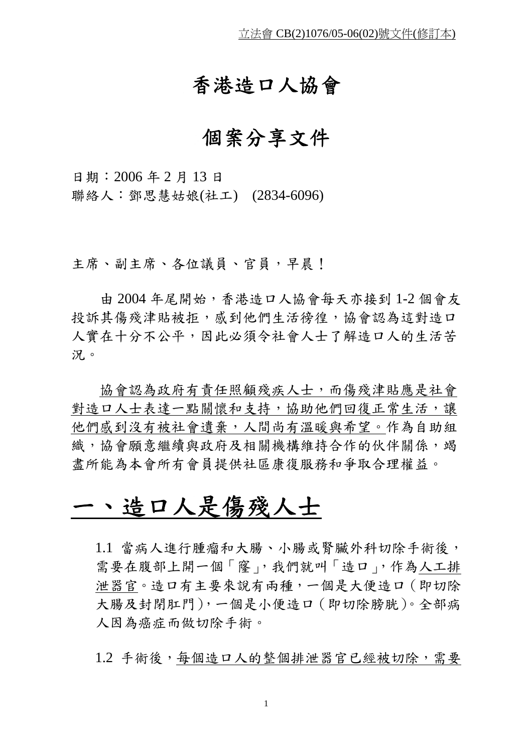### 香港造口人協會

### 個案分享文件

日期:2006 年 2 月 13 日 聯絡人:鄧思慧姑娘(社工) (2834-6096)

主席、副主席、各位議員、官員,早晨!

由 2004 年尾開始,香港造口人協會每天亦接到 1-2 個會友 投訴其傷殘津貼被拒,感到他們生活徬徨,協會認為這對造口 人實在十分不公平,因此必須令社會人士了解造口人的生活苦

況。<br>協會認為政府有責任照顧殘疾人士,而傷殘津貼應是社會 對造口人士表達一點關懷和支持,協助他們回復正常生活,讓 他們感到沒有被社會遺棄,人間尚有溫暖與希望。作為自助組 織,協會願意繼續與政府及相關機構維持合作的伙伴關係,竭 盡所能為本會所有會員提供社區康復服務和爭取合理權益。

# 一、造口人是傷殘人士

1.1 當病人進行腫瘤和大腸、小腸或腎臟外科切除手術後, 需要在腹部上開一個「窿」,我們就叫「造口」,作為人工排 泄器官。造口有主要來說有兩種,一個是大便造口(即切除 大腸及封閉肛門),一個是小便造口(即切除膀胱)。全部病 人因為癌症而做切除手術。

1.2 手術後,每個造口人的整個排泄器官已經被切除,需要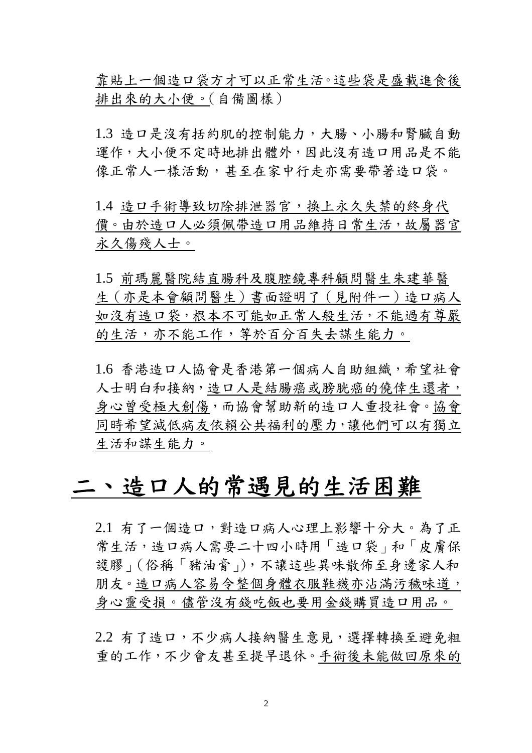靠貼上一個造口袋方才可以正常生活。這些袋是盛載進食後 排出來的大小便。(自備圖樣)

1.3 造口是沒有括約肌的控制能力,大腸、小腸和腎臟自動 運作,大小便不定時地排出體外,因此沒有造口用品是不能 像正常人一樣活動,甚至在家中行走亦需要帶著造口袋。

1.4 造口手術導致切除排泄器官,換上永久失禁的終身代 價。由於造口人必須佩帶造口用品維持日常生活,故屬器官 永久傷殘人士。

1.5 前瑪麗醫院結直腸科及腹腔鏡專科顧問醫生朱建華醫 生(亦是本會顧問醫生)書面證明了(見附件一)造口病人 如沒有造口袋,根本不可能如正常人般生活,不能過有尊嚴 的生活,亦不能工作,等於百分百失去謀生能力。

1.6 香港造口人協會是香港第一個病人自助組織,希望社會 人士明白和接納,造口人是結腸癌或膀胱癌的僥倖生還者, 身心曾受極大創傷,而協會幫助新的造口人重投社會。協會 同時希望減低病友依賴公共福利的壓力,讓他們可以有獨立 生活和謀生能力。

# 二、造口人的常遇見的生活困難

2.1 有了一個造口,對造口病人心理上影響十分大。為了正 常生活,造口病人需要二十四小時用「造口袋」和「皮膚保 護膠」(俗稱「猪油膏」),不讓這些異味散佈至身邊家人和 朋友。造口病人容易令整個身體衣服鞋襪亦沾滿污穢味道, 身心靈受損。儘管沒有錢吃飯也要用金錢購買造口用品。

2.2 有了造口,不少病人接納醫生意見,選擇轉換至避免粗 重的工作,不少會友甚至提早退休。手術後未能做回原來的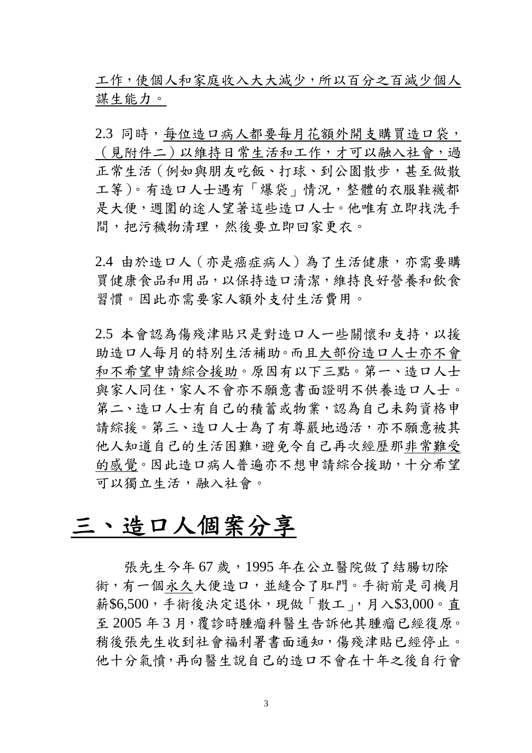工作,使個人和家庭收入大大減少,所以百分之百減少個人 謀生能力。

2.3 同時,每位造口病人都要每月花額外開支購買造口袋, (見附件二)以維持日常生活和工作,才可以融入社會,過 正常生活 (例如與朋友吃飯、打球、到公園散步,甚至做散 工等)。有造口人士遇有「爆袋」情況,整體的衣服鞋襪都 是大便,週圍的途人望著這些造口人士。他唯有立即找洗手 間,把污穢物清理,然後要立即回家更衣。

2.4 由於造口人(亦是癌症病人)為了生活健康,亦需要購 買健康食品和用品,以保持造口清潔,維持良好營養和飲食 習慣。因此亦需要家人額外支付生活費用。

2.5 本會認為傷殘津貼只是對造口人一些關懷和支持,以援 助造口人每月的特別生活補助。而且大部份造口人士亦不會 和不希望申請綜合援助。原因有以下三點。第一、造口人士 與家人同住,家人不會亦不願意書面證明不供養造口人士。 第二、造口人士有自己的積蓄或物業,認為自己未夠資格申 請綜援。第三、造口人士為了有尊嚴地過活,亦不願意被其 他人知道自己的生活困難,避免令自己再次經歷那非常難受 的感覺。因此造口病人普遍亦不想申請綜合援助,十分希望 可以獨立生活,融入社會。

## 三、造口人個案分享

張先生今年67歲,1995年在公立醫院做了結腸切除 術,有一個永久大便造口,並縫合了肛門。手術前是司機月 薪\$6,500,手術後決定退休,現做「散工」,月入\$3,000。直 至 2005 年 3 月,覆診時腫瘤科醫生告訴他其腫瘤已經復原。 稍後張先生收到社會福利署書面通知,傷殘津貼已經停止。 他十分氣憤,再向醫生說自己的造口不會在十年之後自行會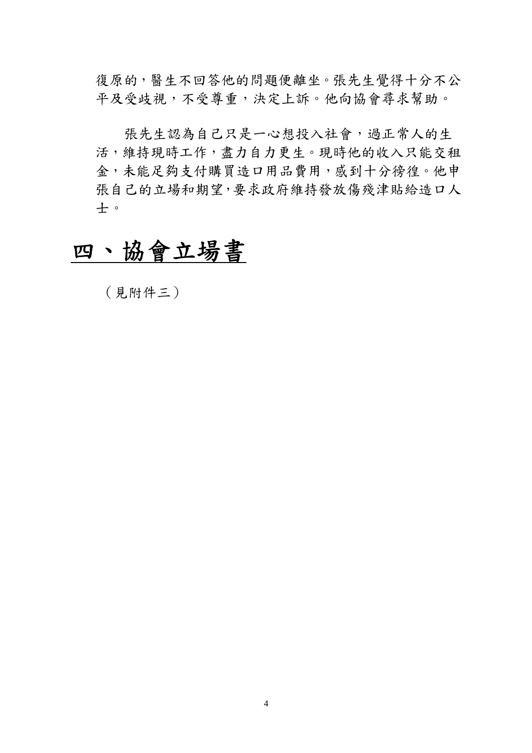復原的,醫生不回答他的問題便離坐。張先生覺得十分不公 平及受歧視,不受尊重,決定上訴。他向協會尋求幫助。

張先生認為自己只是一心想投入社會,過正常人的生 活,維持現時工作,盡力自力更生。現時他的收入只能交租 金,未能足夠支付購買造口用品費用,感到十分徬徨。他申 張自己的立場和期望,要求政府維持發放傷殘津貼給造口人 士。

# 四、協會立場書

(見附件三)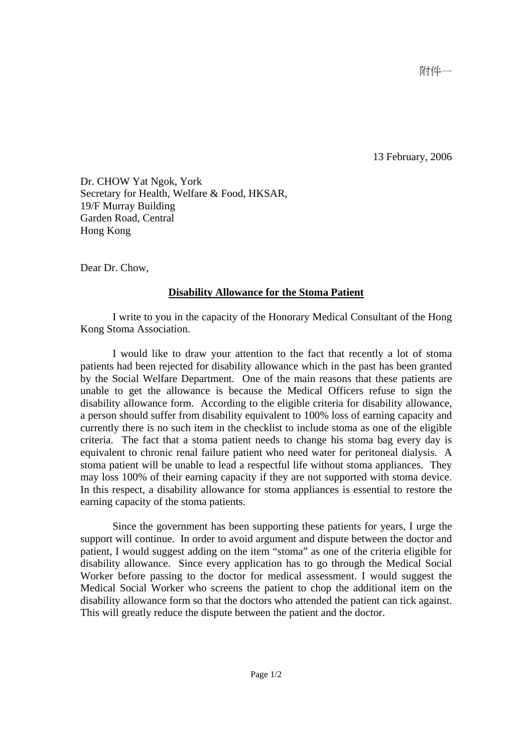13 February, 2006

Dr. CHOW Yat Ngok, York Secretary for Health, Welfare & Food, HKSAR, 19/F Murray Building Garden Road, Central Hong Kong

Dear Dr. Chow,

#### **Disability Allowance for the Stoma Patient**

 I write to you in the capacity of the Honorary Medical Consultant of the Hong Kong Stoma Association.

 I would like to draw your attention to the fact that recently a lot of stoma patients had been rejected for disability allowance which in the past has been granted by the Social Welfare Department. One of the main reasons that these patients are unable to get the allowance is because the Medical Officers refuse to sign the disability allowance form. According to the eligible criteria for disability allowance, a person should suffer from disability equivalent to 100% loss of earning capacity and currently there is no such item in the checklist to include stoma as one of the eligible criteria. The fact that a stoma patient needs to change his stoma bag every day is equivalent to chronic renal failure patient who need water for peritoneal dialysis. A stoma patient will be unable to lead a respectful life without stoma appliances. They may loss 100% of their earning capacity if they are not supported with stoma device. In this respect, a disability allowance for stoma appliances is essential to restore the earning capacity of the stoma patients.

 Since the government has been supporting these patients for years, I urge the support will continue. In order to avoid argument and dispute between the doctor and patient, I would suggest adding on the item "stoma" as one of the criteria eligible for disability allowance. Since every application has to go through the Medical Social Worker before passing to the doctor for medical assessment. I would suggest the Medical Social Worker who screens the patient to chop the additional item on the disability allowance form so that the doctors who attended the patient can tick against. This will greatly reduce the dispute between the patient and the doctor.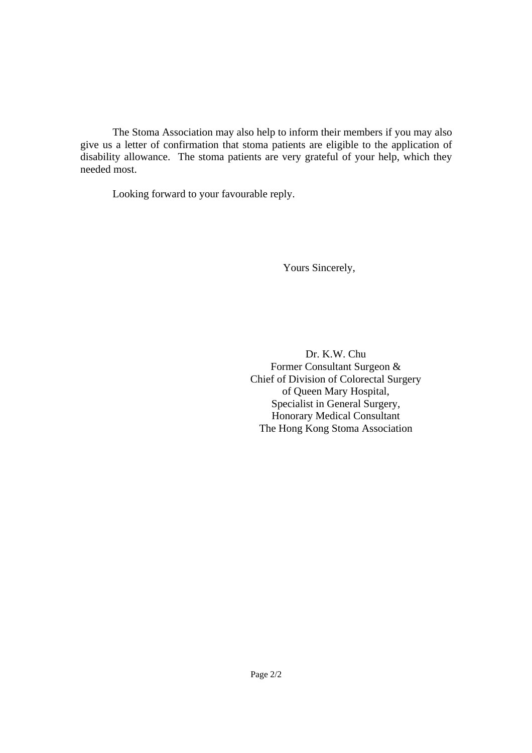The Stoma Association may also help to inform their members if you may also give us a letter of confirmation that stoma patients are eligible to the application of disability allowance. The stoma patients are very grateful of your help, which they needed most.

Looking forward to your favourable reply.

Yours Sincerely,

Dr. K.W. Chu Former Consultant Surgeon & Chief of Division of Colorectal Surgery of Queen Mary Hospital, Specialist in General Surgery, Honorary Medical Consultant The Hong Kong Stoma Association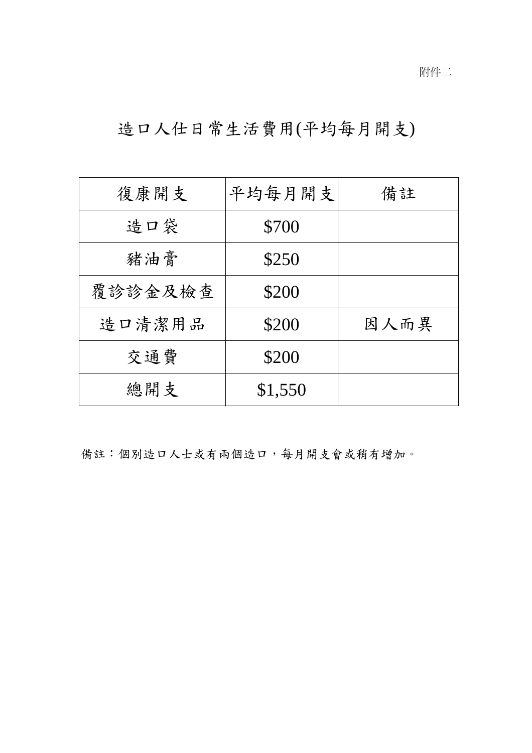## 造口人仕日常生活費用(平均每月開支)

| 復康開支    | 平均每月開支  | 備註   |
|---------|---------|------|
| 造口袋     | \$700   |      |
| 豬油膏     | \$250   |      |
| 覆診診金及檢查 | \$200   |      |
| 造口清潔用品  | \$200   | 因人而異 |
| 交通費     | \$200   |      |
| 總開支     | \$1,550 |      |

備註:個別造口人士或有兩個造口,每月開支會或稍有增加。